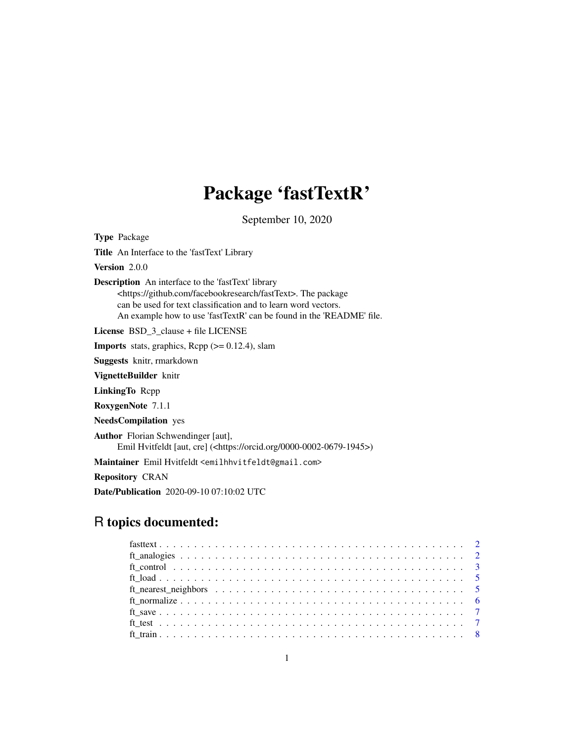## Package 'fastTextR'

September 10, 2020

Type Package Title An Interface to the 'fastText' Library Version 2.0.0 Description An interface to the 'fastText' library <https://github.com/facebookresearch/fastText>. The package can be used for text classification and to learn word vectors. An example how to use 'fastTextR' can be found in the 'README' file. License BSD 3 clause + file LICENSE **Imports** stats, graphics, Rcpp  $(>= 0.12.4)$ , slam Suggests knitr, rmarkdown VignetteBuilder knitr LinkingTo Rcpp RoxygenNote 7.1.1 NeedsCompilation yes Author Florian Schwendinger [aut], Emil Hvitfeldt [aut, cre] (<https://orcid.org/0000-0002-0679-1945>) Maintainer Emil Hvitfeldt <emilhhvitfeldt@gmail.com> Repository CRAN Date/Publication 2020-09-10 07:10:02 UTC

## R topics documented: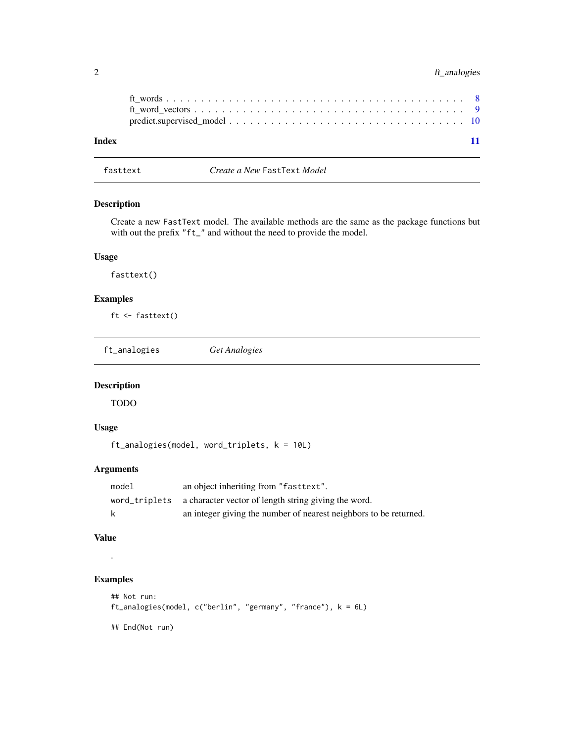#### <span id="page-1-0"></span>2 ft\_analogies

| Index |  | 11 |
|-------|--|----|

fasttext *Create a New* FastText *Model*

#### Description

Create a new FastText model. The available methods are the same as the package functions but with out the prefix "ft\_" and without the need to provide the model.

#### Usage

fasttext()

#### Examples

ft <- fasttext()

ft\_analogies *Get Analogies*

#### Description

TODO

#### Usage

ft\_analogies(model, word\_triplets, k = 10L)

#### Arguments

| model | an object inheriting from "fast text".                             |
|-------|--------------------------------------------------------------------|
|       | word_triplets a character vector of length string giving the word. |
| k     | an integer giving the number of nearest neighbors to be returned.  |

#### Value

#### Examples

.

```
## Not run:
ft_analogies(model, c("berlin", "germany", "france"), k = 6L)
## End(Not run)
```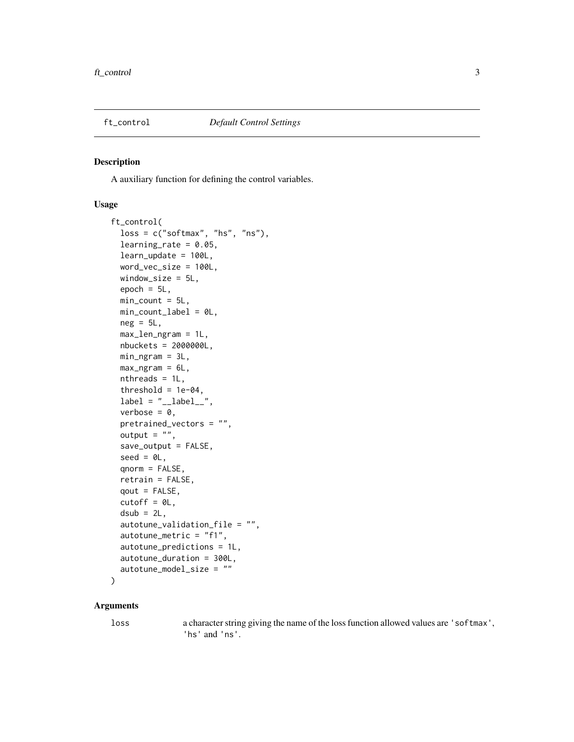<span id="page-2-1"></span><span id="page-2-0"></span>

A auxiliary function for defining the control variables.

#### Usage

```
ft_control(
  loss = c("softmax", "hs", "ns"),
  learning_rate = 0.05,
  learn_update = 100L,
  word_vec_size = 100L,
 window_size = 5L,
  epoch = 5L,min\_count = 5L,
 min_count_label = 0L,
 neg = 5L,
 max_len_ngram = 1L,
 nbuckets = 2000000L,
 min_ngram = 3L,
 max_ngram = 6L,
 nthreads = 1L,
  threshold = 1e-04,
  label = "_{-}label =",
  verbose = 0,
 pretrained_vectors = "",
 output = ",
  save_output = FALSE,
  seed = 0L,
  qnorm = FALSE,
  retrain = FALSE,
  qout = FALSE,cutoff = 0L,dsub = 2L,
  autotune_validation_file = "",
  autotune_metric = "f1",
  autotune_predictions = 1L,
 autotune_duration = 300L,
  autotune_model_size = ""
\mathcal{L}
```
#### Arguments

loss a character string giving the name of the loss function allowed values are 'softmax', 'hs' and 'ns'.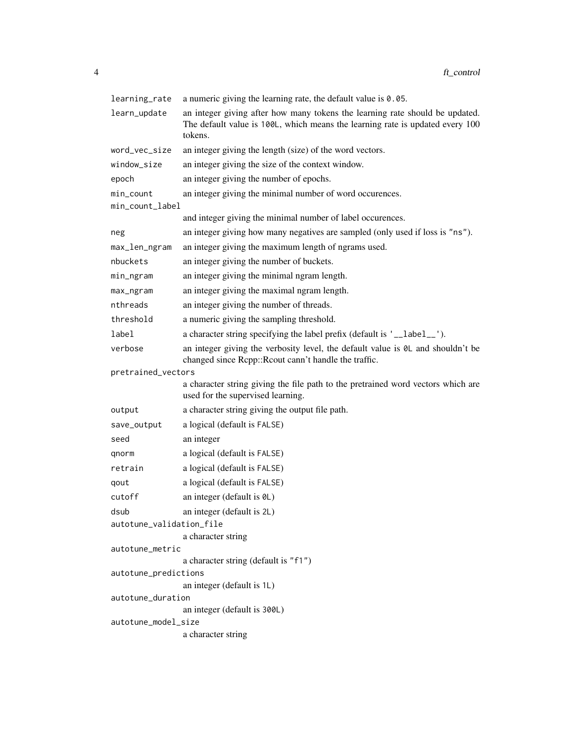| learning_rate                | a numeric giving the learning rate, the default value is $0.05$ .                                                                                                        |  |
|------------------------------|--------------------------------------------------------------------------------------------------------------------------------------------------------------------------|--|
| learn_update                 | an integer giving after how many tokens the learning rate should be updated.<br>The default value is 100L, which means the learning rate is updated every 100<br>tokens. |  |
| word_vec_size                | an integer giving the length (size) of the word vectors.                                                                                                                 |  |
| window_size                  | an integer giving the size of the context window.                                                                                                                        |  |
| epoch                        | an integer giving the number of epochs.                                                                                                                                  |  |
| min_count<br>min_count_label | an integer giving the minimal number of word occurences.                                                                                                                 |  |
|                              | and integer giving the minimal number of label occurences.                                                                                                               |  |
| neg                          | an integer giving how many negatives are sampled (only used if loss is "ns").                                                                                            |  |
| max_len_ngram                | an integer giving the maximum length of ngrams used.                                                                                                                     |  |
| nbuckets                     | an integer giving the number of buckets.                                                                                                                                 |  |
| min_ngram                    | an integer giving the minimal ngram length.                                                                                                                              |  |
| max_ngram                    | an integer giving the maximal ngram length.                                                                                                                              |  |
| nthreads                     | an integer giving the number of threads.                                                                                                                                 |  |
| threshold                    | a numeric giving the sampling threshold.                                                                                                                                 |  |
| label                        | a character string specifying the label prefix (default is '__label__').                                                                                                 |  |
| verbose                      | an integer giving the verbosity level, the default value is 0L and shouldn't be<br>changed since Rcpp:: Rcout cann't handle the traffic.                                 |  |
| pretrained_vectors           |                                                                                                                                                                          |  |
|                              | a character string giving the file path to the pretrained word vectors which are<br>used for the supervised learning.                                                    |  |
| output                       | a character string giving the output file path.                                                                                                                          |  |
| save_output                  | a logical (default is FALSE)                                                                                                                                             |  |
| seed                         | an integer                                                                                                                                                               |  |
| qnorm                        | a logical (default is FALSE)                                                                                                                                             |  |
| retrain                      | a logical (default is FALSE)                                                                                                                                             |  |
| qout                         | a logical (default is FALSE)                                                                                                                                             |  |
| cutoff                       | an integer (default is 0L)                                                                                                                                               |  |
| dsub                         | an integer (default is 2L)                                                                                                                                               |  |
| autotune_validation_file     |                                                                                                                                                                          |  |
|                              | a character string                                                                                                                                                       |  |
| autotune_metric              | a character string (default is "f1")                                                                                                                                     |  |
| autotune_predictions         |                                                                                                                                                                          |  |
|                              | an integer (default is 1L)                                                                                                                                               |  |
| autotune_duration            |                                                                                                                                                                          |  |
|                              | an integer (default is 300L)                                                                                                                                             |  |
| autotune_model_size          | a character string                                                                                                                                                       |  |
|                              |                                                                                                                                                                          |  |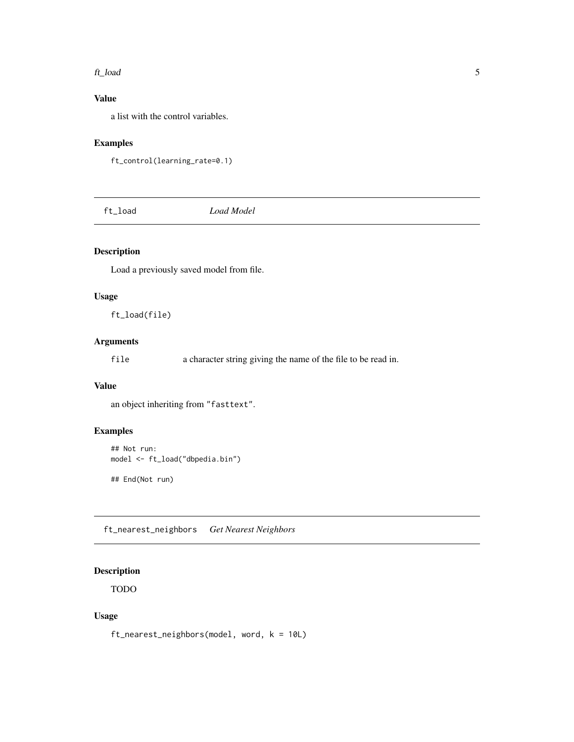#### <span id="page-4-0"></span>ft\_load 5

#### Value

a list with the control variables.

#### Examples

```
ft_control(learning_rate=0.1)
```
ft\_load *Load Model*

#### Description

Load a previously saved model from file.

#### Usage

ft\_load(file)

#### Arguments

file a character string giving the name of the file to be read in.

#### Value

an object inheriting from "fasttext".

#### Examples

```
## Not run:
model <- ft_load("dbpedia.bin")
```
## End(Not run)

ft\_nearest\_neighbors *Get Nearest Neighbors*

#### Description

TODO

#### Usage

ft\_nearest\_neighbors(model, word, k = 10L)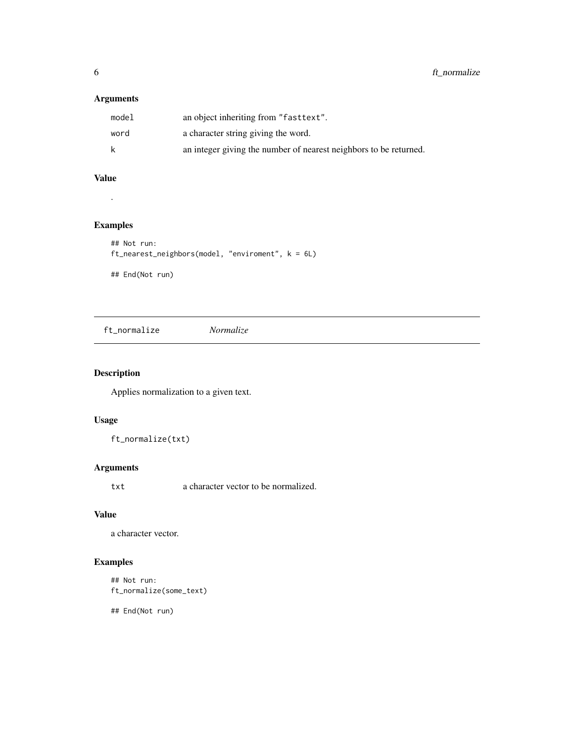#### <span id="page-5-0"></span>Arguments

| model | an object inheriting from "fast text".                            |
|-------|-------------------------------------------------------------------|
| word  | a character string giving the word.                               |
| k     | an integer giving the number of nearest neighbors to be returned. |

#### Value

.

#### Examples

```
## Not run:
ft_nearest_neighbors(model, "enviroment", k = 6L)
## End(Not run)
```
ft\_normalize *Normalize*

#### Description

Applies normalization to a given text.

#### Usage

ft\_normalize(txt)

#### Arguments

txt a character vector to be normalized.

#### Value

a character vector.

#### Examples

```
## Not run:
ft_normalize(some_text)
```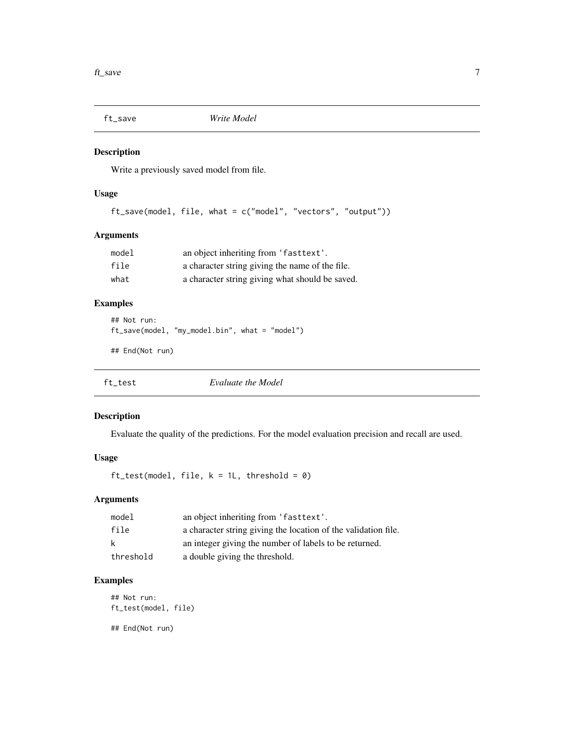<span id="page-6-0"></span>

Write a previously saved model from file.

### Usage

ft\_save(model, file, what = c("model", "vectors", "output"))

#### Arguments

| model | an object inheriting from 'fasttext'.           |
|-------|-------------------------------------------------|
| file  | a character string giving the name of the file. |
| what  | a character string giving what should be saved. |

#### Examples

```
## Not run:
ft_save(model, "my_model.bin", what = "model")
```
## End(Not run)

ft\_test *Evaluate the Model*

#### Description

Evaluate the quality of the predictions. For the model evaluation precision and recall are used.

#### Usage

 $ft_test(model, file, k = 1L, threshold = 0)$ 

#### Arguments

| model     | an object inheriting from 'fasttext'.                          |
|-----------|----------------------------------------------------------------|
| file      | a character string giving the location of the validation file. |
| k         | an integer giving the number of labels to be returned.         |
| threshold | a double giving the threshold.                                 |

#### Examples

## Not run: ft\_test(model, file)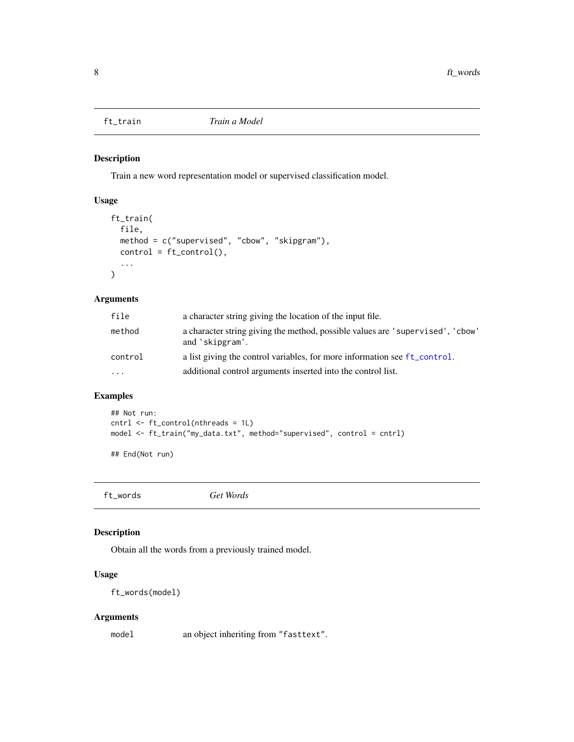<span id="page-7-0"></span>

Train a new word representation model or supervised classification model.

#### Usage

```
ft_train(
  file,
  method = c("supervised", "cbow", "skipgram"),
  control = ft\_control(),...
\mathcal{L}
```
#### Arguments

| file    | a character string giving the location of the input file.                                         |
|---------|---------------------------------------------------------------------------------------------------|
| method  | a character string giving the method, possible values are 'supervised', 'cbow'<br>and 'skipgram'. |
| control | a list giving the control variables, for more information see ft_control.                         |
| $\cdot$ | additional control arguments inserted into the control list.                                      |

#### Examples

```
## Not run:
cntrl <- ft_control(nthreads = 1L)
model <- ft_train("my_data.txt", method="supervised", control = cntrl)
```
## End(Not run)

ft\_words *Get Words*

#### Description

Obtain all the words from a previously trained model.

#### Usage

ft\_words(model)

#### Arguments

model an object inheriting from "fasttext".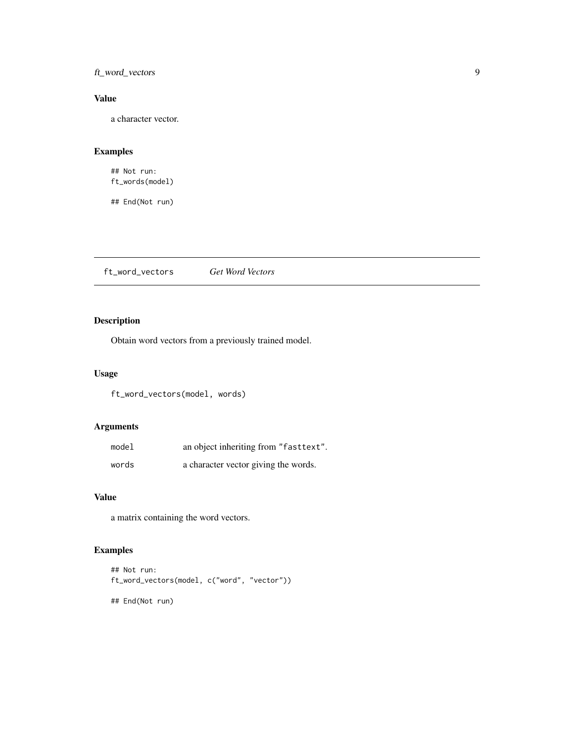#### <span id="page-8-0"></span>ft\_word\_vectors 9

#### Value

a character vector.

#### Examples

## Not run: ft\_words(model)

## End(Not run)

ft\_word\_vectors *Get Word Vectors*

#### Description

Obtain word vectors from a previously trained model.

#### Usage

ft\_word\_vectors(model, words)

#### Arguments

| model | an object inheriting from "fasttext". |
|-------|---------------------------------------|
| words | a character vector giving the words.  |

#### Value

a matrix containing the word vectors.

### Examples

```
## Not run:
ft_word_vectors(model, c("word", "vector"))
```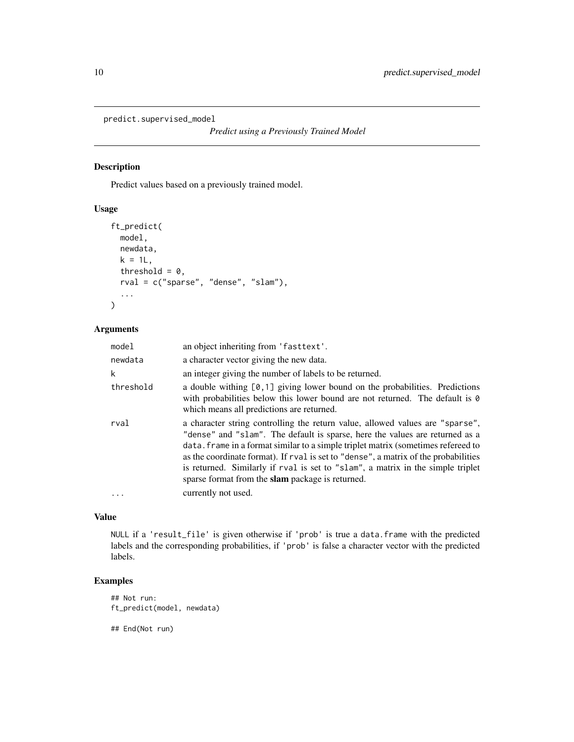```
predict.supervised_model
```
Predict values based on a previously trained model.

#### Usage

```
ft_predict(
  model,
  newdata,
  k = 1L,
  threshold = 0,
  rval = c("sparse", "dense", "slam"),
  ...
\mathcal{L}
```
#### Arguments

| model     | an object inheriting from 'fasttext'.                                                                                                                                                                                                                                                                                                                                                                                                                                            |
|-----------|----------------------------------------------------------------------------------------------------------------------------------------------------------------------------------------------------------------------------------------------------------------------------------------------------------------------------------------------------------------------------------------------------------------------------------------------------------------------------------|
| newdata   | a character vector giving the new data.                                                                                                                                                                                                                                                                                                                                                                                                                                          |
| k         | an integer giving the number of labels to be returned.                                                                                                                                                                                                                                                                                                                                                                                                                           |
| threshold | a double withing $[0,1]$ giving lower bound on the probabilities. Predictions<br>with probabilities below this lower bound are not returned. The default is $\theta$<br>which means all predictions are returned.                                                                                                                                                                                                                                                                |
| rval      | a character string controlling the return value, allowed values are "sparse",<br>"dense" and "slam". The default is sparse, here the values are returned as a<br>data. Frame in a format similar to a simple triplet matrix (sometimes refereed to<br>as the coordinate format). If rval is set to "dense", a matrix of the probabilities<br>is returned. Similarly if rval is set to "slam", a matrix in the simple triplet<br>sparse format from the slam package is returned. |
|           | currently not used.                                                                                                                                                                                                                                                                                                                                                                                                                                                              |

#### Value

NULL if a 'result\_file' is given otherwise if 'prob' is true a data.frame with the predicted labels and the corresponding probabilities, if 'prob' is false a character vector with the predicted labels.

#### Examples

```
## Not run:
ft_predict(model, newdata)
```